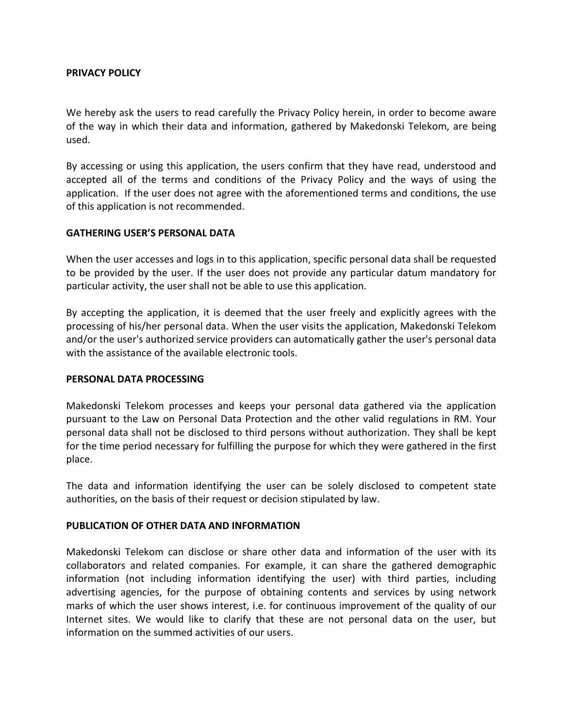## **PRIVACY POLICY**

We hereby ask the users to read carefully the Privacy Policy herein, in order to become aware of the way in which their data and information, gathered by Makedonski Telekom, are being used.

By accessing or using this application, the users confirm that they have read, understood and accepted all of the terms and conditions of the Privacy Policy and the ways of using the application. If the user does not agree with the aforementioned terms and conditions, the use of this application is not recommended.

## **GATHERING USER'S PERSONAL DATA**

When the user accesses and logs in to this application, specific personal data shall be requested to be provided by the user. If the user does not provide any particular datum mandatory for particular activity, the user shall not be able to use this application.

By accepting the application, it is deemed that the user freely and explicitly agrees with the processing of his/her personal data. When the user visits the application, Makedonski Telekom and/or the user's authorized service providers can automatically gather the user's personal data with the assistance of the available electronic tools.

#### **PERSONAL DATA PROCESSING**

Makedonski Telekom processes and keeps your personal data gathered via the application pursuant to the Law on Personal Data Protection and the other valid regulations in RM. Your personal data shall not be disclosed to third persons without authorization. They shall be kept for the time period necessary for fulfilling the purpose for which they were gathered in the first place.

The data and information identifying the user can be solely disclosed to competent state authorities, on the basis of their request or decision stipulated by law.

# **PUBLICATION OF OTHER DATA AND INFORMATION**

Makedonski Telekom can disclose or share other data and information of the user with its collaborators and related companies. For example, it can share the gathered demographic information (not including information identifying the user) with third parties, including advertising agencies, for the purpose of obtaining contents and services by using network marks of which the user shows interest, i.e. for continuous improvement of the quality of our Internet sites. We would like to clarify that these are not personal data on the user, but information on the summed activities of our users.